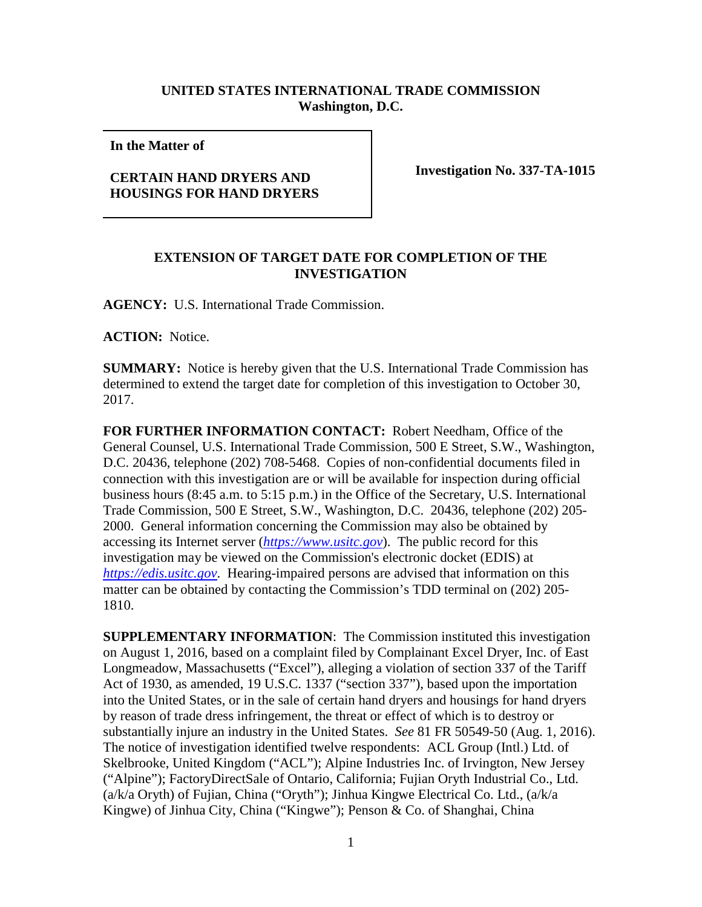## **UNITED STATES INTERNATIONAL TRADE COMMISSION Washington, D.C.**

**In the Matter of** 

## **CERTAIN HAND DRYERS AND HOUSINGS FOR HAND DRYERS**

**Investigation No. 337-TA-1015**

## **EXTENSION OF TARGET DATE FOR COMPLETION OF THE INVESTIGATION**

**AGENCY:** U.S. International Trade Commission.

**ACTION:** Notice.

**SUMMARY:** Notice is hereby given that the U.S. International Trade Commission has determined to extend the target date for completion of this investigation to October 30, 2017.

**FOR FURTHER INFORMATION CONTACT:** Robert Needham, Office of the General Counsel, U.S. International Trade Commission, 500 E Street, S.W., Washington, D.C. 20436, telephone (202) 708-5468. Copies of non-confidential documents filed in connection with this investigation are or will be available for inspection during official business hours (8:45 a.m. to 5:15 p.m.) in the Office of the Secretary, U.S. International Trade Commission, 500 E Street, S.W., Washington, D.C. 20436, telephone (202) 205- 2000. General information concerning the Commission may also be obtained by accessing its Internet server (*[https://www.usitc.gov](https://www.usitc.gov/)*). The public record for this investigation may be viewed on the Commission's electronic docket (EDIS) at *[https://edis.usitc.gov](https://edis.usitc.gov/)*. Hearing-impaired persons are advised that information on this matter can be obtained by contacting the Commission's TDD terminal on (202) 205- 1810.

**SUPPLEMENTARY INFORMATION**: The Commission instituted this investigation on August 1, 2016, based on a complaint filed by Complainant Excel Dryer, Inc. of East Longmeadow, Massachusetts ("Excel"), alleging a violation of section 337 of the Tariff Act of 1930, as amended, 19 U.S.C. 1337 ("section 337"), based upon the importation into the United States, or in the sale of certain hand dryers and housings for hand dryers by reason of trade dress infringement, the threat or effect of which is to destroy or substantially injure an industry in the United States. *See* 81 FR 50549-50 (Aug. 1, 2016). The notice of investigation identified twelve respondents: ACL Group (Intl.) Ltd. of Skelbrooke, United Kingdom ("ACL"); Alpine Industries Inc. of Irvington, New Jersey ("Alpine"); FactoryDirectSale of Ontario, California; Fujian Oryth Industrial Co., Ltd. (a/k/a Oryth) of Fujian, China ("Oryth"); Jinhua Kingwe Electrical Co. Ltd., (a/k/a Kingwe) of Jinhua City, China ("Kingwe"); Penson & Co. of Shanghai, China